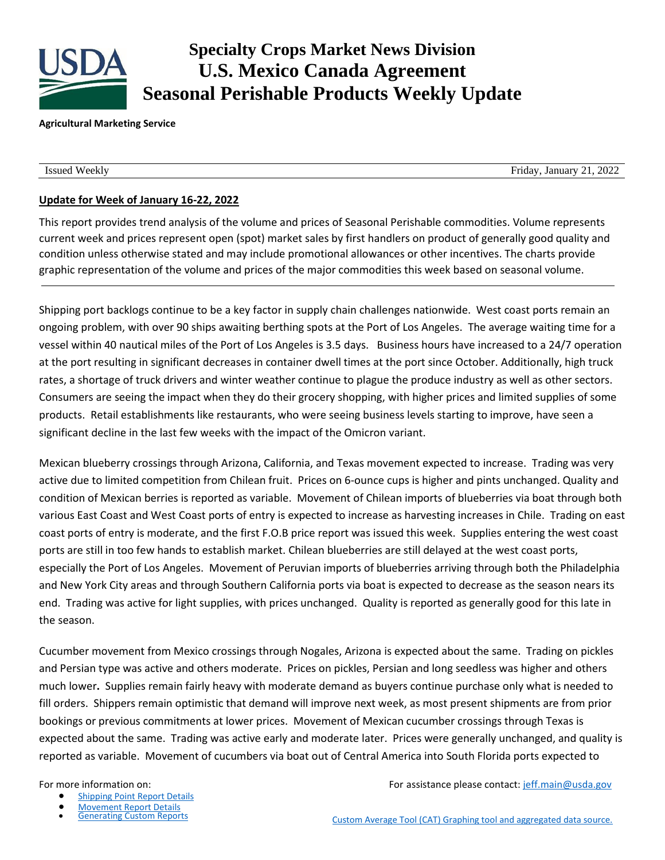

# **Specialty Crops Market News Division U.S. Mexico Canada Agreement Seasonal Perishable Products Weekly Update**

### **Agricultural Marketing Service**

Issued Weekly Friday, January 21, 2022

## **Update for Week of January 16-22, 2022**

This report provides trend analysis of the volume and prices of Seasonal Perishable commodities. Volume represents current week and prices represent open (spot) market sales by first handlers on product of generally good quality and condition unless otherwise stated and may include promotional allowances or other incentives. The charts provide graphic representation of the volume and prices of the major commodities this week based on seasonal volume.

Shipping port backlogs continue to be a key factor in supply chain challenges nationwide. West coast ports remain an ongoing problem, with over 90 ships awaiting berthing spots at the Port of Los Angeles. The average waiting time for a vessel within 40 nautical miles of the Port of Los Angeles is 3.5 days. Business hours have increased to a 24/7 operation at the port resulting in significant decreases in container dwell times at the port since October. Additionally, high truck rates, a shortage of truck drivers and winter weather continue to plague the produce industry as well as other sectors. Consumers are seeing the impact when they do their grocery shopping, with higher prices and limited supplies of some products. Retail establishments like restaurants, who were seeing business levels starting to improve, have seen a significant decline in the last few weeks with the impact of the Omicron variant.

Mexican blueberry crossings through Arizona, California, and Texas movement expected to increase. Trading was very active due to limited competition from Chilean fruit. Prices on 6-ounce cups is higher and pints unchanged. Quality and condition of Mexican berries is reported as variable. Movement of Chilean imports of blueberries via boat through both various East Coast and West Coast ports of entry is expected to increase as harvesting increases in Chile. Trading on east coast ports of entry is moderate, and the first F.O.B price report was issued this week. Supplies entering the west coast ports are still in too few hands to establish market. Chilean blueberries are still delayed at the west coast ports, especially the Port of Los Angeles. Movement of Peruvian imports of blueberries arriving through both the Philadelphia and New York City areas and through Southern California ports via boat is expected to decrease as the season nears its end. Trading was active for light supplies, with prices unchanged. Quality is reported as generally good for this late in the season.

Cucumber movement from Mexico crossings through Nogales, Arizona is expected about the same. Trading on pickles and Persian type was active and others moderate. Prices on pickles, Persian and long seedless was higher and others much lower**.** Supplies remain fairly heavy with moderate demand as buyers continue purchase only what is needed to fill orders. Shippers remain optimistic that demand will improve next week, as most present shipments are from prior bookings or previous commitments at lower prices. Movement of Mexican cucumber crossings through Texas is expected about the same. Trading was active early and moderate later. Prices were generally unchanged, and quality is reported as variable. Movement of cucumbers via boat out of Central America into South Florida ports expected to

- [Shipping Point Report Details](https://www.marketnews.usda.gov/mnp/fv-help-15)
- 
- **[Movement Report Details](https://www.marketnews.usda.gov/mnp/fv-help-16)<br>Generating Custom Reports**

For more information on: The match of the state of the set of the Formation of the Secondary of the Secondary Formation of the Secondary Secondary Secondary Secondary Secondary Secondary Secondary Secondary Secondary Secon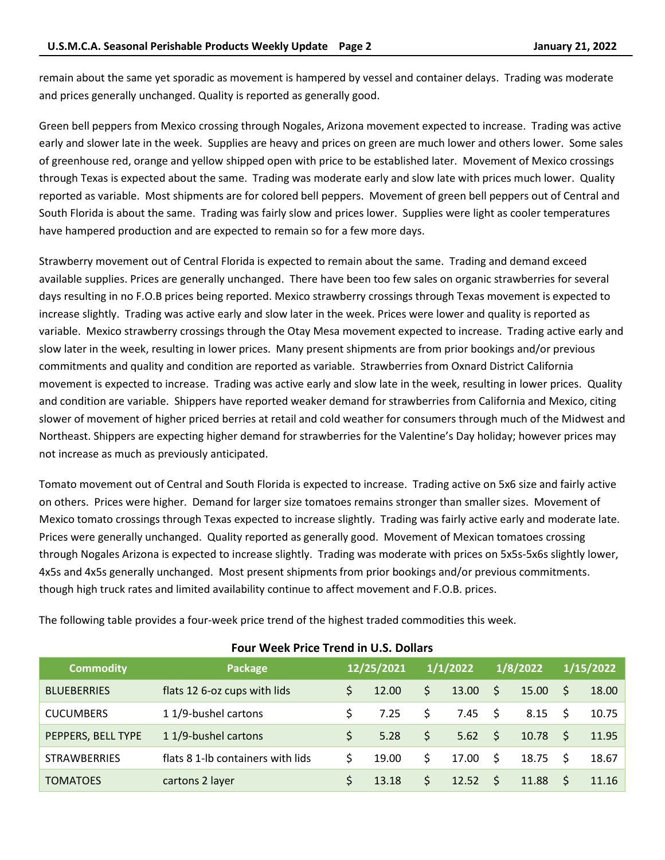remain about the same yet sporadic as movement is hampered by vessel and container delays. Trading was moderate and prices generally unchanged. Quality is reported as generally good.

Green bell peppers from Mexico crossing through Nogales, Arizona movement expected to increase. Trading was active early and slower late in the week. Supplies are heavy and prices on green are much lower and others lower. Some sales of greenhouse red, orange and yellow shipped open with price to be established later. Movement of Mexico crossings through Texas is expected about the same. Trading was moderate early and slow late with prices much lower. Quality reported as variable. Most shipments are for colored bell peppers. Movement of green bell peppers out of Central and South Florida is about the same. Trading was fairly slow and prices lower. Supplies were light as cooler temperatures have hampered production and are expected to remain so for a few more days.

Strawberry movement out of Central Florida is expected to remain about the same. Trading and demand exceed available supplies. Prices are generally unchanged. There have been too few sales on organic strawberries for several days resulting in no F.O.B prices being reported. Mexico strawberry crossings through Texas movement is expected to increase slightly. Trading was active early and slow later in the week. Prices were lower and quality is reported as variable. Mexico strawberry crossings through the Otay Mesa movement expected to increase. Trading active early and slow later in the week, resulting in lower prices. Many present shipments are from prior bookings and/or previous commitments and quality and condition are reported as variable. Strawberries from Oxnard District California movement is expected to increase. Trading was active early and slow late in the week, resulting in lower prices. Quality and condition are variable. Shippers have reported weaker demand for strawberries from California and Mexico, citing slower of movement of higher priced berries at retail and cold weather for consumers through much of the Midwest and Northeast. Shippers are expecting higher demand for strawberries for the Valentine's Day holiday; however prices may not increase as much as previously anticipated.

Tomato movement out of Central and South Florida is expected to increase. Trading active on 5x6 size and fairly active on others. Prices were higher. Demand for larger size tomatoes remains stronger than smaller sizes. Movement of Mexico tomato crossings through Texas expected to increase slightly. Trading was fairly active early and moderate late. Prices were generally unchanged. Quality reported as generally good. Movement of Mexican tomatoes crossing through Nogales Arizona is expected to increase slightly. Trading was moderate with prices on 5x5s-5x6s slightly lower, 4x5s and 4x5s generally unchanged. Most present shipments from prior bookings and/or previous commitments. though high truck rates and limited availability continue to affect movement and F.O.B. prices.

| <b>Commodity</b>    | Package                           |    | 12/25/2021 |    | 1/1/2022        |              | 1/8/2022         |              | 1/15/2022 |  |  |
|---------------------|-----------------------------------|----|------------|----|-----------------|--------------|------------------|--------------|-----------|--|--|
| <b>BLUEBERRIES</b>  | flats 12 6-oz cups with lids      | S. | 12.00      | \$ | 13.00           | \$           | 15.00            | <sup>S</sup> | 18.00     |  |  |
| <b>CUCUMBERS</b>    | 11/9-bushel cartons               | S  | 7.25       | S  | $7.45 \quad$ \$ |              | $8.15$ \$        |              | 10.75     |  |  |
| PEPPERS, BELL TYPE  | 11/9-bushel cartons               | S. | 5.28       | \$ | 5.62            | - \$         | $10.78 \quad$ \$ |              | 11.95     |  |  |
| <b>STRAWBERRIES</b> | flats 8 1-lb containers with lids | Ś  | 19.00      | S. | 17.00           | -\$          | $18.75$ \$       |              | 18.67     |  |  |
| <b>TOMATOES</b>     | cartons 2 layer                   | Ś. | 13.18      | \$ | 12.52           | <sup>S</sup> | 11.88            |              | 11.16     |  |  |

**Four Week Price Trend in U.S. Dollars**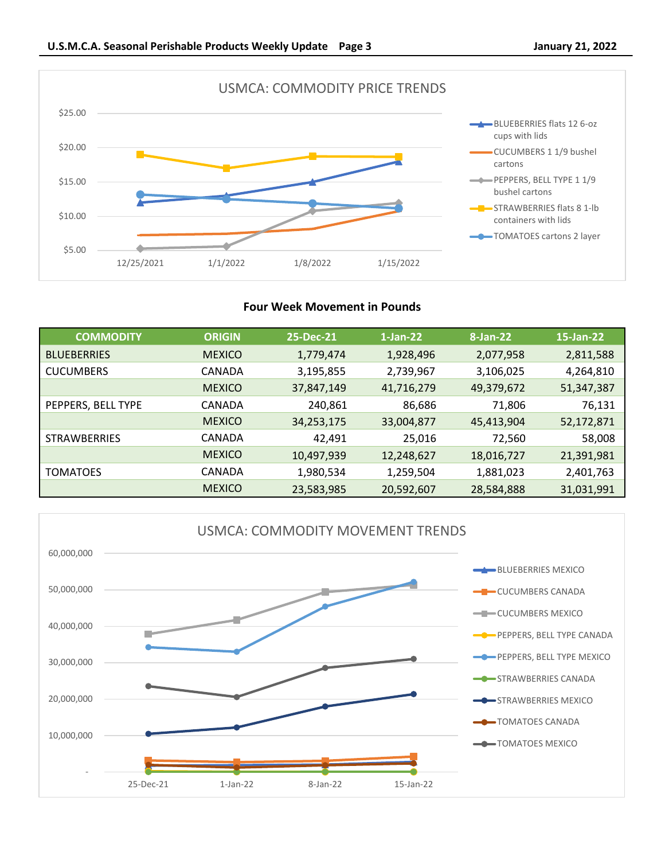

### **Four Week Movement in Pounds**

| <b>COMMODITY</b>    | <b>ORIGIN</b> | 25-Dec-21  | $1$ -Jan-22 | 8-Jan-22   | 15-Jan-22  |
|---------------------|---------------|------------|-------------|------------|------------|
| <b>BLUEBERRIES</b>  | <b>MEXICO</b> | 1,779,474  | 1,928,496   | 2,077,958  | 2,811,588  |
| <b>CUCUMBERS</b>    | CANADA        | 3,195,855  | 2,739,967   | 3,106,025  | 4,264,810  |
|                     | <b>MEXICO</b> | 37,847,149 | 41,716,279  | 49,379,672 | 51,347,387 |
| PEPPERS, BELL TYPE  | CANADA        | 240,861    | 86,686      | 71,806     | 76,131     |
|                     | <b>MEXICO</b> | 34,253,175 | 33,004,877  | 45,413,904 | 52,172,871 |
| <b>STRAWBERRIES</b> | CANADA        | 42.491     | 25,016      | 72,560     | 58,008     |
|                     | <b>MEXICO</b> | 10,497,939 | 12,248,627  | 18,016,727 | 21,391,981 |
| <b>TOMATOES</b>     | CANADA        | 1,980,534  | 1,259,504   | 1,881,023  | 2,401,763  |
|                     | <b>MEXICO</b> | 23,583,985 | 20,592,607  | 28,584,888 | 31,031,991 |